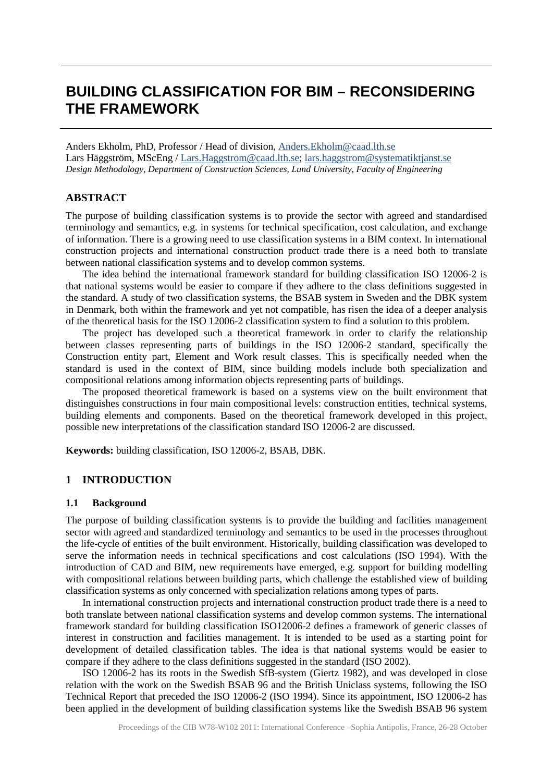# **BUILDING CLASSIFICATION FOR BIM – RECONSIDERING THE FRAMEWORK**

Anders Ekholm, PhD, Professor / Head of division[, Anders.Ekholm@caad.lth.se](mailto:Anders.Ekholm@caad.lth.se) Lars Häggström, MScEng / [Lars.Haggstrom@caad.lth.se;](mailto:Lars.Haggstrom@caad.lth.se) [lars.haggstrom@systematiktjanst.se](mailto:lars.haggstrom@systematiktjanst.se) *Design Methodology, Department of Construction Sciences, Lund University, Faculty of Engineering*

# **ABSTRACT**

The purpose of building classification systems is to provide the sector with agreed and standardised terminology and semantics, e.g. in systems for technical specification, cost calculation, and exchange of information. There is a growing need to use classification systems in a BIM context. In international construction projects and international construction product trade there is a need both to translate between national classification systems and to develop common systems.

The idea behind the international framework standard for building classification ISO 12006-2 is that national systems would be easier to compare if they adhere to the class definitions suggested in the standard. A study of two classification systems, the BSAB system in Sweden and the DBK system in Denmark, both within the framework and yet not compatible, has risen the idea of a deeper analysis of the theoretical basis for the ISO 12006-2 classification system to find a solution to this problem.

The project has developed such a theoretical framework in order to clarify the relationship between classes representing parts of buildings in the ISO 12006-2 standard, specifically the Construction entity part, Element and Work result classes. This is specifically needed when the standard is used in the context of BIM, since building models include both specialization and compositional relations among information objects representing parts of buildings.

The proposed theoretical framework is based on a systems view on the built environment that distinguishes constructions in four main compositional levels: construction entities, technical systems, building elements and components. Based on the theoretical framework developed in this project, possible new interpretations of the classification standard ISO 12006-2 are discussed.

**Keywords:** building classification, ISO 12006-2, BSAB, DBK.

# **1 INTRODUCTION**

# **1.1 Background**

The purpose of building classification systems is to provide the building and facilities management sector with agreed and standardized terminology and semantics to be used in the processes throughout the life-cycle of entities of the built environment. Historically, building classification was developed to serve the information needs in technical specifications and cost calculations (ISO 1994). With the introduction of CAD and BIM, new requirements have emerged, e.g. support for building modelling with compositional relations between building parts, which challenge the established view of building classification systems as only concerned with specialization relations among types of parts.

In international construction projects and international construction product trade there is a need to both translate between national classification systems and develop common systems. The international framework standard for building classification ISO12006-2 defines a framework of generic classes of interest in construction and facilities management. It is intended to be used as a starting point for development of detailed classification tables. The idea is that national systems would be easier to compare if they adhere to the class definitions suggested in the standard (ISO 2002).

ISO 12006-2 has its roots in the Swedish SfB-system (Giertz 1982), and was developed in close relation with the work on the Swedish BSAB 96 and the British Uniclass systems, following the ISO Technical Report that preceded the ISO 12006-2 (ISO 1994). Since its appointment, ISO 12006-2 has been applied in the development of building classification systems like the Swedish BSAB 96 system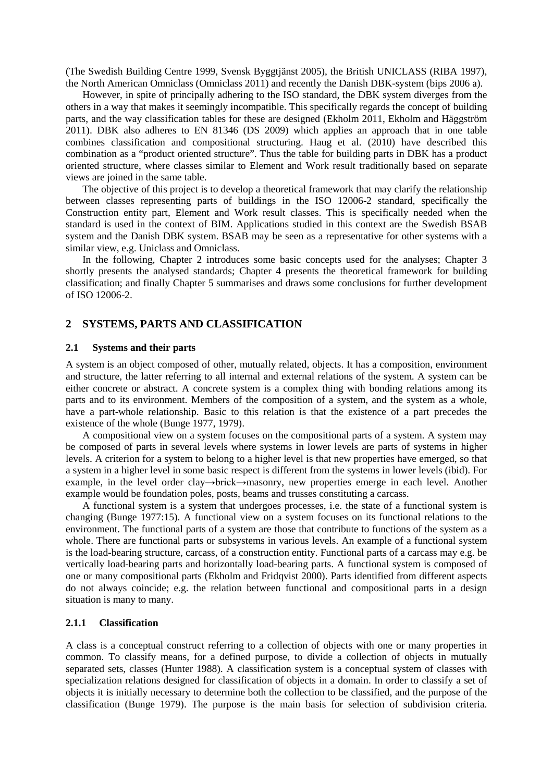(The Swedish Building Centre 1999, Svensk Byggtjänst 2005), the British UNICLASS (RIBA 1997), the North American Omniclass (Omniclass 2011) and recently the Danish DBK-system (bips 2006 a).

However, in spite of principally adhering to the ISO standard, the DBK system diverges from the others in a way that makes it seemingly incompatible. This specifically regards the concept of building parts, and the way classification tables for these are designed (Ekholm 2011, Ekholm and Häggström 2011). DBK also adheres to EN 81346 (DS 2009) which applies an approach that in one table combines classification and compositional structuring. Haug et al. (2010) have described this combination as a "product oriented structure". Thus the table for building parts in DBK has a product oriented structure, where classes similar to Element and Work result traditionally based on separate views are joined in the same table.

The objective of this project is to develop a theoretical framework that may clarify the relationship between classes representing parts of buildings in the ISO 12006-2 standard, specifically the Construction entity part, Element and Work result classes. This is specifically needed when the standard is used in the context of BIM. Applications studied in this context are the Swedish BSAB system and the Danish DBK system. BSAB may be seen as a representative for other systems with a similar view, e.g. Uniclass and Omniclass.

In the following, Chapter 2 introduces some basic concepts used for the analyses; Chapter 3 shortly presents the analysed standards; Chapter 4 presents the theoretical framework for building classification; and finally Chapter 5 summarises and draws some conclusions for further development of ISO 12006-2.

### **2 SYSTEMS, PARTS AND CLASSIFICATION**

### **2.1 Systems and their parts**

A system is an object composed of other, mutually related, objects. It has a composition, environment and structure, the latter referring to all internal and external relations of the system. A system can be either concrete or abstract. A concrete system is a complex thing with bonding relations among its parts and to its environment. Members of the composition of a system, and the system as a whole, have a part-whole relationship. Basic to this relation is that the existence of a part precedes the existence of the whole (Bunge 1977, 1979).

A compositional view on a system focuses on the compositional parts of a system. A system may be composed of parts in several levels where systems in lower levels are parts of systems in higher levels. A criterion for a system to belong to a higher level is that new properties have emerged, so that a system in a higher level in some basic respect is different from the systems in lower levels (ibid). For example, in the level order clay→brick→masonry, new properties emerge in each level. Another example would be foundation poles, posts, beams and trusses constituting a carcass.

A functional system is a system that undergoes processes, i.e. the state of a functional system is changing (Bunge 1977:15). A functional view on a system focuses on its functional relations to the environment. The functional parts of a system are those that contribute to functions of the system as a whole. There are functional parts or subsystems in various levels. An example of a functional system is the load-bearing structure, carcass, of a construction entity. Functional parts of a carcass may e.g. be vertically load-bearing parts and horizontally load-bearing parts. A functional system is composed of one or many compositional parts (Ekholm and Fridqvist 2000). Parts identified from different aspects do not always coincide; e.g. the relation between functional and compositional parts in a design situation is many to many.

#### **2.1.1 Classification**

A class is a conceptual construct referring to a collection of objects with one or many properties in common. To classify means, for a defined purpose, to divide a collection of objects in mutually separated sets, classes (Hunter 1988). A classification system is a conceptual system of classes with specialization relations designed for classification of objects in a domain. In order to classify a set of objects it is initially necessary to determine both the collection to be classified, and the purpose of the classification (Bunge 1979). The purpose is the main basis for selection of subdivision criteria.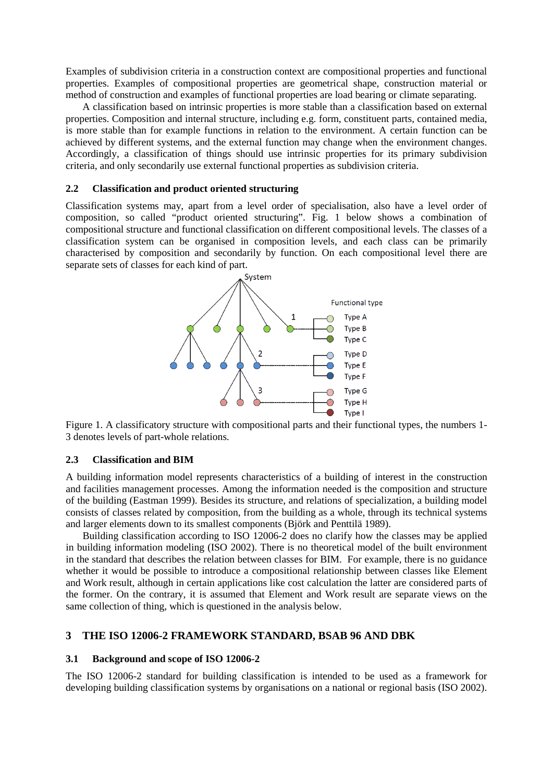Examples of subdivision criteria in a construction context are compositional properties and functional properties. Examples of compositional properties are geometrical shape, construction material or method of construction and examples of functional properties are load bearing or climate separating.

A classification based on intrinsic properties is more stable than a classification based on external properties. Composition and internal structure, including e.g. form, constituent parts, contained media, is more stable than for example functions in relation to the environment. A certain function can be achieved by different systems, and the external function may change when the environment changes. Accordingly, a classification of things should use intrinsic properties for its primary subdivision criteria, and only secondarily use external functional properties as subdivision criteria.

### **2.2 Classification and product oriented structuring**

Classification systems may, apart from a level order of specialisation, also have a level order of composition, so called "product oriented structuring". Fig. 1 below shows a combination of compositional structure and functional classification on different compositional levels. The classes of a classification system can be organised in composition levels, and each class can be primarily characterised by composition and secondarily by function. On each compositional level there are separate sets of classes for each kind of part.



Figure 1. A classificatory structure with compositional parts and their functional types, the numbers 1- 3 denotes levels of part-whole relations.

### **2.3 Classification and BIM**

A building information model represents characteristics of a building of interest in the construction and facilities management processes. Among the information needed is the composition and structure of the building (Eastman 1999). Besides its structure, and relations of specialization, a building model consists of classes related by composition, from the building as a whole, through its technical systems and larger elements down to its smallest components (Björk and Penttilä 1989).

Building classification according to ISO 12006-2 does no clarify how the classes may be applied in building information modeling (ISO 2002). There is no theoretical model of the built environment in the standard that describes the relation between classes for BIM. For example, there is no guidance whether it would be possible to introduce a compositional relationship between classes like Element and Work result, although in certain applications like cost calculation the latter are considered parts of the former. On the contrary, it is assumed that Element and Work result are separate views on the same collection of thing, which is questioned in the analysis below.

### **3 THE ISO 12006-2 FRAMEWORK STANDARD, BSAB 96 AND DBK**

#### **3.1 Background and scope of ISO 12006-2**

The ISO 12006-2 standard for building classification is intended to be used as a framework for developing building classification systems by organisations on a national or regional basis (ISO 2002).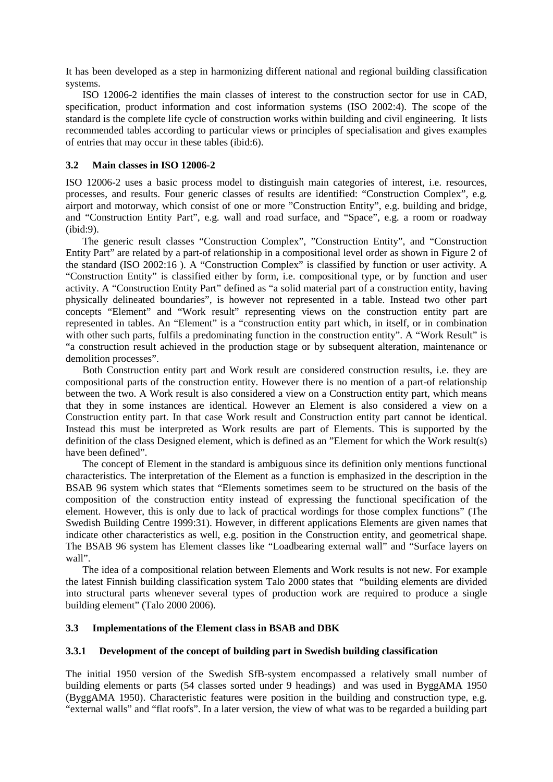It has been developed as a step in harmonizing different national and regional building classification systems.

ISO 12006-2 identifies the main classes of interest to the construction sector for use in CAD, specification, product information and cost information systems (ISO 2002:4). The scope of the standard is the complete life cycle of construction works within building and civil engineering. It lists recommended tables according to particular views or principles of specialisation and gives examples of entries that may occur in these tables (ibid:6).

### **3.2 Main classes in ISO 12006-2**

ISO 12006-2 uses a basic process model to distinguish main categories of interest, i.e. resources, processes, and results. Four generic classes of results are identified: "Construction Complex", e.g. airport and motorway, which consist of one or more "Construction Entity", e.g. building and bridge, and "Construction Entity Part", e.g. wall and road surface, and "Space", e.g. a room or roadway (ibid:9).

The generic result classes "Construction Complex", "Construction Entity", and "Construction Entity Part" are related by a part-of relationship in a compositional level order as shown in Figure 2 of the standard (ISO 2002:16 ). A "Construction Complex" is classified by function or user activity. A "Construction Entity" is classified either by form, i.e. compositional type, or by function and user activity. A "Construction Entity Part" defined as "a solid material part of a construction entity, having physically delineated boundaries", is however not represented in a table. Instead two other part concepts "Element" and "Work result" representing views on the construction entity part are represented in tables. An "Element" is a "construction entity part which, in itself, or in combination with other such parts, fulfils a predominating function in the construction entity". A "Work Result" is "a construction result achieved in the production stage or by subsequent alteration, maintenance or demolition processes".

Both Construction entity part and Work result are considered construction results, i.e. they are compositional parts of the construction entity. However there is no mention of a part-of relationship between the two. A Work result is also considered a view on a Construction entity part, which means that they in some instances are identical. However an Element is also considered a view on a Construction entity part. In that case Work result and Construction entity part cannot be identical. Instead this must be interpreted as Work results are part of Elements. This is supported by the definition of the class Designed element, which is defined as an "Element for which the Work result(s) have been defined".

The concept of Element in the standard is ambiguous since its definition only mentions functional characteristics. The interpretation of the Element as a function is emphasized in the description in the BSAB 96 system which states that "Elements sometimes seem to be structured on the basis of the composition of the construction entity instead of expressing the functional specification of the element. However, this is only due to lack of practical wordings for those complex functions" (The Swedish Building Centre 1999:31). However, in different applications Elements are given names that indicate other characteristics as well, e.g. position in the Construction entity, and geometrical shape. The BSAB 96 system has Element classes like "Loadbearing external wall" and "Surface layers on wall".

The idea of a compositional relation between Elements and Work results is not new. For example the latest Finnish building classification system Talo 2000 states that "building elements are divided into structural parts whenever several types of production work are required to produce a single building element" (Talo 2000 2006).

### **3.3 Implementations of the Element class in BSAB and DBK**

# **3.3.1 Development of the concept of building part in Swedish building classification**

The initial 1950 version of the Swedish SfB-system encompassed a relatively small number of building elements or parts (54 classes sorted under 9 headings) and was used in ByggAMA 1950 (ByggAMA 1950). Characteristic features were position in the building and construction type, e.g. "external walls" and "flat roofs". In a later version, the view of what was to be regarded a building part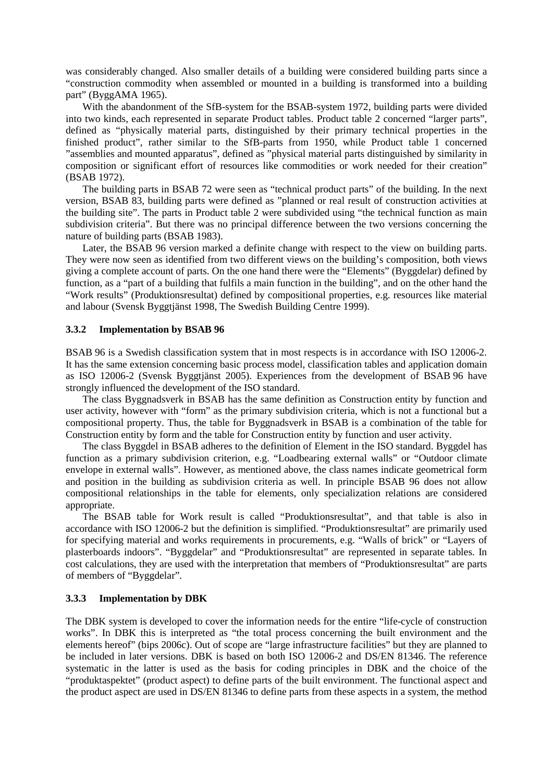was considerably changed. Also smaller details of a building were considered building parts since a "construction commodity when assembled or mounted in a building is transformed into a building part" (ByggAMA 1965).

With the abandonment of the SfB-system for the BSAB-system 1972, building parts were divided into two kinds, each represented in separate Product tables. Product table 2 concerned "larger parts", defined as "physically material parts, distinguished by their primary technical properties in the finished product", rather similar to the SfB-parts from 1950, while Product table 1 concerned "assemblies and mounted apparatus", defined as "physical material parts distinguished by similarity in composition or significant effort of resources like commodities or work needed for their creation" (BSAB 1972).

The building parts in BSAB 72 were seen as "technical product parts" of the building. In the next version, BSAB 83, building parts were defined as "planned or real result of construction activities at the building site". The parts in Product table 2 were subdivided using "the technical function as main subdivision criteria". But there was no principal difference between the two versions concerning the nature of building parts (BSAB 1983).

Later, the BSAB 96 version marked a definite change with respect to the view on building parts. They were now seen as identified from two different views on the building's composition, both views giving a complete account of parts. On the one hand there were the "Elements" (Byggdelar) defined by function, as a "part of a building that fulfils a main function in the building", and on the other hand the "Work results" (Produktionsresultat) defined by compositional properties, e.g. resources like material and labour (Svensk Byggtjänst 1998, The Swedish Building Centre 1999).

### **3.3.2 Implementation by BSAB 96**

BSAB 96 is a Swedish classification system that in most respects is in accordance with ISO 12006-2. It has the same extension concerning basic process model, classification tables and application domain as ISO 12006-2 (Svensk Byggtjänst 2005). Experiences from the development of BSAB 96 have strongly influenced the development of the ISO standard.

The class Byggnadsverk in BSAB has the same definition as Construction entity by function and user activity, however with "form" as the primary subdivision criteria, which is not a functional but a compositional property. Thus, the table for Byggnadsverk in BSAB is a combination of the table for Construction entity by form and the table for Construction entity by function and user activity.

The class Byggdel in BSAB adheres to the definition of Element in the ISO standard. Byggdel has function as a primary subdivision criterion, e.g. "Loadbearing external walls" or "Outdoor climate envelope in external walls". However, as mentioned above, the class names indicate geometrical form and position in the building as subdivision criteria as well. In principle BSAB 96 does not allow compositional relationships in the table for elements, only specialization relations are considered appropriate.

The BSAB table for Work result is called "Produktionsresultat", and that table is also in accordance with ISO 12006-2 but the definition is simplified. "Produktionsresultat" are primarily used for specifying material and works requirements in procurements, e.g. "Walls of brick" or "Layers of plasterboards indoors". "Byggdelar" and "Produktionsresultat" are represented in separate tables. In cost calculations, they are used with the interpretation that members of "Produktionsresultat" are parts of members of "Byggdelar".

#### **3.3.3 Implementation by DBK**

The DBK system is developed to cover the information needs for the entire "life-cycle of construction works". In DBK this is interpreted as "the total process concerning the built environment and the elements hereof" (bips 2006c). Out of scope are "large infrastructure facilities" but they are planned to be included in later versions. DBK is based on both ISO 12006-2 and DS/EN 81346. The reference systematic in the latter is used as the basis for coding principles in DBK and the choice of the "produktaspektet" (product aspect) to define parts of the built environment. The functional aspect and the product aspect are used in DS/EN 81346 to define parts from these aspects in a system, the method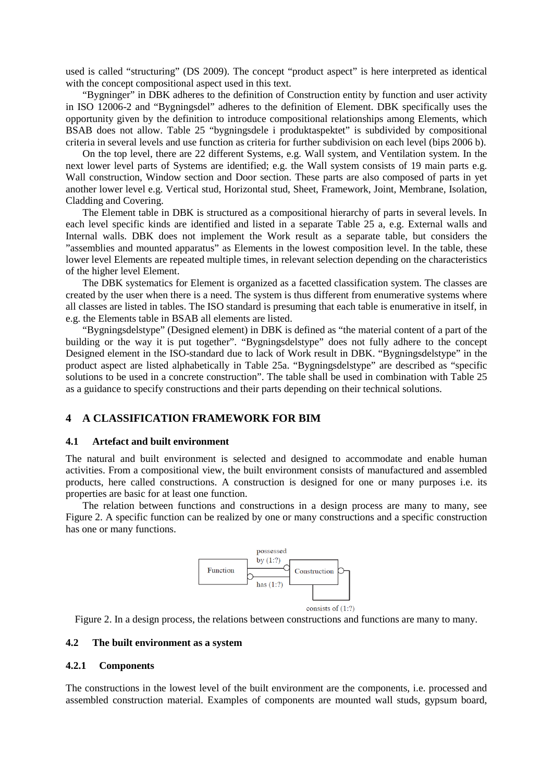used is called "structuring" (DS 2009). The concept "product aspect" is here interpreted as identical with the concept compositional aspect used in this text.

"Bygninger" in DBK adheres to the definition of Construction entity by function and user activity in ISO 12006-2 and "Bygningsdel" adheres to the definition of Element. DBK specifically uses the opportunity given by the definition to introduce compositional relationships among Elements, which BSAB does not allow. Table 25 "bygningsdele i produktaspektet" is subdivided by compositional criteria in several levels and use function as criteria for further subdivision on each level (bips 2006 b).

On the top level, there are 22 different Systems, e.g. Wall system, and Ventilation system. In the next lower level parts of Systems are identified; e.g. the Wall system consists of 19 main parts e.g. Wall construction, Window section and Door section. These parts are also composed of parts in yet another lower level e.g. Vertical stud, Horizontal stud, Sheet, Framework, Joint, Membrane, Isolation, Cladding and Covering.

The Element table in DBK is structured as a compositional hierarchy of parts in several levels. In each level specific kinds are identified and listed in a separate Table 25 a, e.g. External walls and Internal walls. DBK does not implement the Work result as a separate table, but considers the "assemblies and mounted apparatus" as Elements in the lowest composition level. In the table, these lower level Elements are repeated multiple times, in relevant selection depending on the characteristics of the higher level Element.

The DBK systematics for Element is organized as a facetted classification system. The classes are created by the user when there is a need. The system is thus different from enumerative systems where all classes are listed in tables. The ISO standard is presuming that each table is enumerative in itself, in e.g. the Elements table in BSAB all elements are listed.

"Bygningsdelstype" (Designed element) in DBK is defined as "the material content of a part of the building or the way it is put together". "Bygningsdelstype" does not fully adhere to the concept Designed element in the ISO-standard due to lack of Work result in DBK. "Bygningsdelstype" in the product aspect are listed alphabetically in Table 25a. "Bygningsdelstype" are described as "specific solutions to be used in a concrete construction". The table shall be used in combination with Table 25 as a guidance to specify constructions and their parts depending on their technical solutions.

# **4 A CLASSIFICATION FRAMEWORK FOR BIM**

### **4.1 Artefact and built environment**

The natural and built environment is selected and designed to accommodate and enable human activities. From a compositional view, the built environment consists of manufactured and assembled products, here called constructions. A construction is designed for one or many purposes i.e. its properties are basic for at least one function.

The relation between functions and constructions in a design process are many to many, see Figure 2. A specific function can be realized by one or many constructions and a specific construction has one or many functions.



Figure 2. In a design process, the relations between constructions and functions are many to many.

### **4.2 The built environment as a system**

### **4.2.1 Components**

The constructions in the lowest level of the built environment are the components, i.e. processed and assembled construction material. Examples of components are mounted wall studs, gypsum board,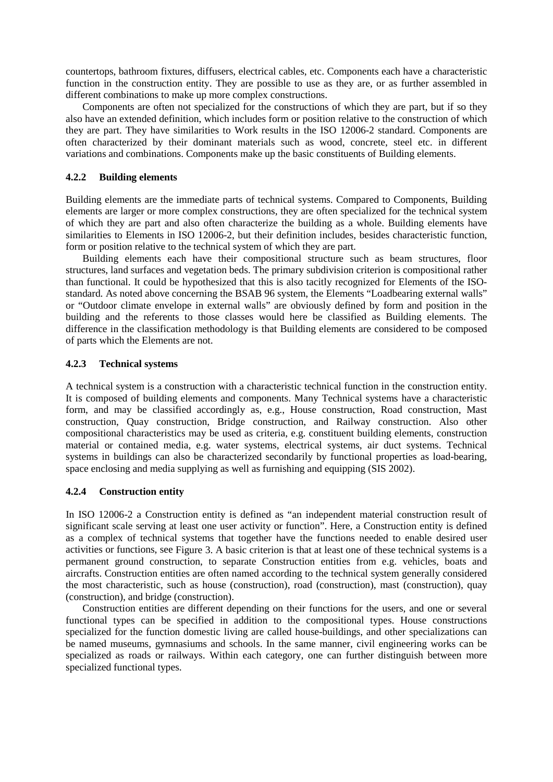countertops, bathroom fixtures, diffusers, electrical cables, etc. Components each have a characteristic function in the construction entity. They are possible to use as they are, or as further assembled in different combinations to make up more complex constructions.

Components are often not specialized for the constructions of which they are part, but if so they also have an extended definition, which includes form or position relative to the construction of which they are part. They have similarities to Work results in the ISO 12006-2 standard. Components are often characterized by their dominant materials such as wood, concrete, steel etc. in different variations and combinations. Components make up the basic constituents of Building elements.

### **4.2.2 Building elements**

Building elements are the immediate parts of technical systems. Compared to Components, Building elements are larger or more complex constructions, they are often specialized for the technical system of which they are part and also often characterize the building as a whole. Building elements have similarities to Elements in ISO 12006-2, but their definition includes, besides characteristic function, form or position relative to the technical system of which they are part.

Building elements each have their compositional structure such as beam structures, floor structures, land surfaces and vegetation beds. The primary subdivision criterion is compositional rather than functional. It could be hypothesized that this is also tacitly recognized for Elements of the ISOstandard. As noted above concerning the BSAB 96 system, the Elements "Loadbearing external walls" or "Outdoor climate envelope in external walls" are obviously defined by form and position in the building and the referents to those classes would here be classified as Building elements. The difference in the classification methodology is that Building elements are considered to be composed of parts which the Elements are not.

### **4.2.3 Technical systems**

A technical system is a construction with a characteristic technical function in the construction entity. It is composed of building elements and components. Many Technical systems have a characteristic form, and may be classified accordingly as, e.g., House construction, Road construction, Mast construction, Quay construction, Bridge construction, and Railway construction. Also other compositional characteristics may be used as criteria, e.g. constituent building elements, construction material or contained media, e.g. water systems, electrical systems, air duct systems. Technical systems in buildings can also be characterized secondarily by functional properties as load-bearing, space enclosing and media supplying as well as furnishing and equipping (SIS 2002).

# **4.2.4 Construction entity**

In ISO 12006-2 a Construction entity is defined as "an independent material construction result of significant scale serving at least one user activity or function". Here, a Construction entity is defined as a complex of technical systems that together have the functions needed to enable desired user activities or functions, see Figure 3. A basic criterion is that at least one of these technical systems is a permanent ground construction, to separate Construction entities from e.g. vehicles, boats and aircrafts. Construction entities are often named according to the technical system generally considered the most characteristic, such as house (construction), road (construction), mast (construction), quay (construction), and bridge (construction).

Construction entities are different depending on their functions for the users, and one or several functional types can be specified in addition to the compositional types. House constructions specialized for the function domestic living are called house-buildings, and other specializations can be named museums, gymnasiums and schools. In the same manner, civil engineering works can be specialized as roads or railways. Within each category, one can further distinguish between more specialized functional types.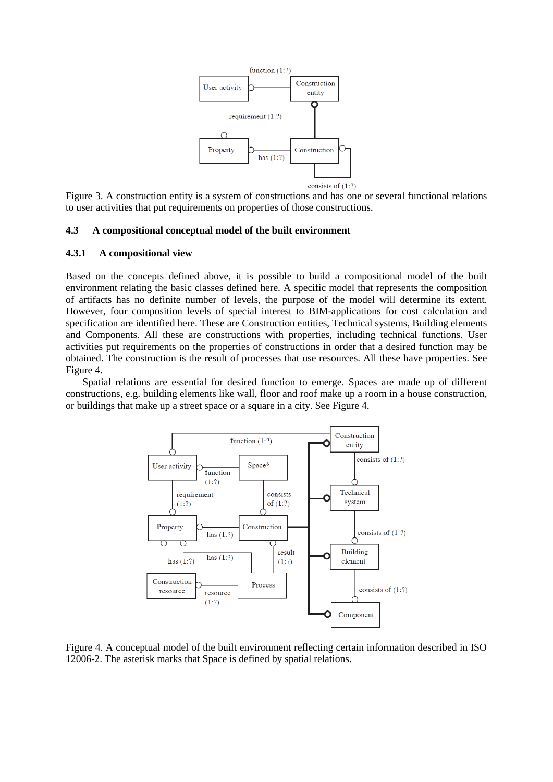

Figure 3. A construction entity is a system of constructions and has one or several functional relations to user activities that put requirements on properties of those constructions.

### **4.3 A compositional conceptual model of the built environment**

### **4.3.1 A compositional view**

Based on the concepts defined above, it is possible to build a compositional model of the built environment relating the basic classes defined here. A specific model that represents the composition of artifacts has no definite number of levels, the purpose of the model will determine its extent. However, four composition levels of special interest to BIM-applications for cost calculation and specification are identified here. These are Construction entities, Technical systems, Building elements and Components. All these are constructions with properties, including technical functions. User activities put requirements on the properties of constructions in order that a desired function may be obtained. The construction is the result of processes that use resources. All these have properties. See Figure 4.

Spatial relations are essential for desired function to emerge. Spaces are made up of different constructions, e.g. building elements like wall, floor and roof make up a room in a house construction, or buildings that make up a street space or a square in a city. See Figure 4.



Figure 4. A conceptual model of the built environment reflecting certain information described in ISO 12006-2. The asterisk marks that Space is defined by spatial relations.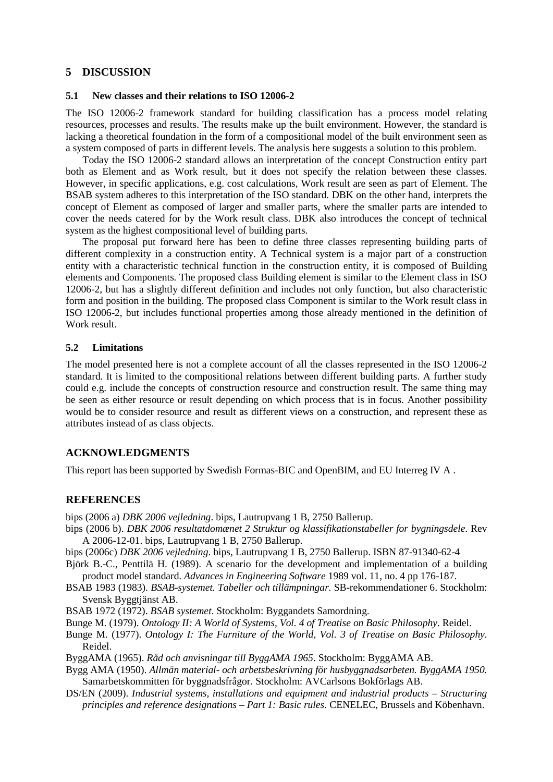# **5 DISCUSSION**

# **5.1 New classes and their relations to ISO 12006-2**

The ISO 12006-2 framework standard for building classification has a process model relating resources, processes and results. The results make up the built environment. However, the standard is lacking a theoretical foundation in the form of a compositional model of the built environment seen as a system composed of parts in different levels. The analysis here suggests a solution to this problem.

Today the ISO 12006-2 standard allows an interpretation of the concept Construction entity part both as Element and as Work result, but it does not specify the relation between these classes. However, in specific applications, e.g. cost calculations, Work result are seen as part of Element. The BSAB system adheres to this interpretation of the ISO standard. DBK on the other hand, interprets the concept of Element as composed of larger and smaller parts, where the smaller parts are intended to cover the needs catered for by the Work result class. DBK also introduces the concept of technical system as the highest compositional level of building parts.

The proposal put forward here has been to define three classes representing building parts of different complexity in a construction entity. A Technical system is a major part of a construction entity with a characteristic technical function in the construction entity, it is composed of Building elements and Components. The proposed class Building element is similar to the Element class in ISO 12006-2, but has a slightly different definition and includes not only function, but also characteristic form and position in the building. The proposed class Component is similar to the Work result class in ISO 12006-2, but includes functional properties among those already mentioned in the definition of Work result.

### **5.2 Limitations**

The model presented here is not a complete account of all the classes represented in the ISO 12006-2 standard. It is limited to the compositional relations between different building parts. A further study could e.g. include the concepts of construction resource and construction result. The same thing may be seen as either resource or result depending on which process that is in focus. Another possibility would be to consider resource and result as different views on a construction, and represent these as attributes instead of as class objects.

# **ACKNOWLEDGMENTS**

This report has been supported by Swedish Formas-BIC and OpenBIM, and EU Interreg IV A .

# **REFERENCES**

bips (2006 a) *DBK 2006 vejledning*. bips, Lautrupvang 1 B, 2750 Ballerup.

- bips (2006 b). *DBK 2006 resultatdomænet 2 Struktur og klassifikationstabeller for bygningsdele*. Rev A 2006-12-01. bips, Lautrupvang 1 B, 2750 Ballerup.
- bips (2006c) *DBK 2006 vejledning*. bips, Lautrupvang 1 B, 2750 Ballerup. ISBN 87-91340-62-4
- Björk B.-C., Penttilä H. (1989). A scenario for the development and implementation of a building product model standard. *Advances in Engineering Software* 1989 vol. 11, no. 4 pp 176-187.
- BSAB 1983 (1983). *BSAB-systemet. Tabeller och tillämpningar.* SB-rekommendationer 6. Stockholm: Svensk Byggtjänst AB.
- BSAB 1972 (1972). *BSAB systemet*. Stockholm: Byggandets Samordning.
- Bunge M. (1979). *Ontology II: A World of Systems, Vol. 4 of Treatise on Basic Philosophy*. Reidel.
- Bunge M. (1977). *Ontology I: The Furniture of the World, Vol. 3 of Treatise on Basic Philosophy*. Reidel.
- ByggAMA (1965). *Råd och anvisningar till ByggAMA 1965*. Stockholm: ByggAMA AB.
- Bygg AMA (1950). *Allmän material- och arbetsbeskrivning för husbyggnadsarbeten. ByggAMA 1950.* Samarbetskommitten för byggnadsfrågor. Stockholm: AVCarlsons Bokförlags AB.
- DS/EN (2009). *Industrial systems, installations and equipment and industrial products – Structuring principles and reference designations – Part 1: Basic rules*. CENELEC, Brussels and Köbenhavn.